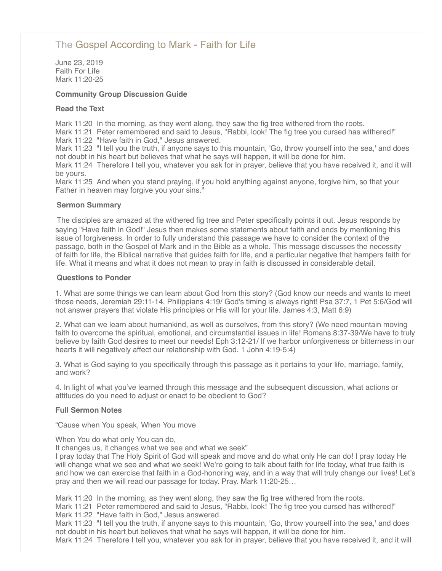# [The Gospel According to Mark - Faith for Life](http://northshorechurch.net/resources/sermons/sermon-notes/455-the-gospel-according-to-mark-faith-for-life)

June 23, 2019 Faith For Life Mark 11:20-25

## **Community Group Discussion Guide**

#### **Read the Text**

Mark 11:20 In the morning, as they went along, they saw the fig tree withered from the roots.

Mark 11:21 Peter remembered and said to Jesus, "Rabbi, look! The fig tree you cursed has withered!" Mark 11:22 "Have faith in God," Jesus answered.

Mark 11:23 "I tell you the truth, if anyone says to this mountain, 'Go, throw yourself into the sea,' and does not doubt in his heart but believes that what he says will happen, it will be done for him.

Mark 11:24 Therefore I tell you, whatever you ask for in prayer, believe that you have received it, and it will be yours.

Mark 11:25 And when you stand praying, if you hold anything against anyone, forgive him, so that your Father in heaven may forgive you your sins."

#### **Sermon Summary**

The disciples are amazed at the withered fig tree and Peter specifically points it out. Jesus responds by saying "Have faith in God!" Jesus then makes some statements about faith and ends by mentioning this issue of forgiveness. In order to fully understand this passage we have to consider the context of the passage, both in the Gospel of Mark and in the Bible as a whole. This message discusses the necessity of faith for life, the Biblical narrative that guides faith for life, and a particular negative that hampers faith for life. What it means and what it does not mean to pray in faith is discussed in considerable detail.

#### **Questions to Ponder**

1. What are some things we can learn about God from this story? (God know our needs and wants to meet those needs, Jeremiah 29:11-14, Philippians 4:19/ God's timing is always right! Psa 37:7, 1 Pet 5:6/God will not answer prayers that violate His principles or His will for your life. James 4:3, Matt 6:9)

2. What can we learn about humankind, as well as ourselves, from this story? (We need mountain moving faith to overcome the spiritual, emotional, and circumstantial issues in life! Romans 8:37-39/We have to truly believe by faith God desires to meet our needs! Eph 3:12-21/ If we harbor unforgiveness or bitterness in our hearts it will negatively affect our relationship with God. 1 John 4:19-5:4)

3. What is God saying to you specifically through this passage as it pertains to your life, marriage, family, and work?

4. In light of what you've learned through this message and the subsequent discussion, what actions or attitudes do you need to adjust or enact to be obedient to God?

## **Full Sermon Notes**

"Cause when You speak, When You move

When You do what only You can do,

It changes us, it changes what we see and what we seek"

I pray today that The Holy Spirit of God will speak and move and do what only He can do! I pray today He will change what we see and what we seek! We're going to talk about faith for life today, what true faith is and how we can exercise that faith in a God-honoring way, and in a way that will truly change our lives! Let's pray and then we will read our passage for today. Pray. Mark 11:20-25…

Mark 11:20 In the morning, as they went along, they saw the fig tree withered from the roots.

Mark 11:21 Peter remembered and said to Jesus, "Rabbi, look! The fig tree you cursed has withered!"

Mark 11:22 "Have faith in God," Jesus answered.

Mark 11:23 "I tell you the truth, if anyone says to this mountain, 'Go, throw yourself into the sea,' and does not doubt in his heart but believes that what he says will happen, it will be done for him.

Mark 11:24 Therefore I tell you, whatever you ask for in prayer, believe that you have received it, and it will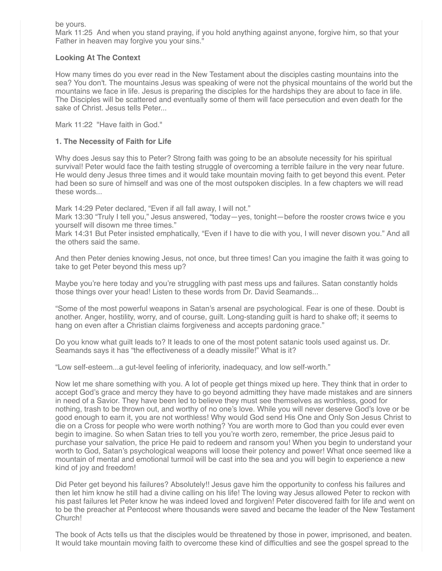be yours.

Mark 11:25 And when you stand praying, if you hold anything against anyone, forgive him, so that your Father in heaven may forgive you your sins."

## **Looking At The Context**

How many times do you ever read in the New Testament about the disciples casting mountains into the sea? You don't. The mountains Jesus was speaking of were not the physical mountains of the world but the mountains we face in life. Jesus is preparing the disciples for the hardships they are about to face in life. The Disciples will be scattered and eventually some of them will face persecution and even death for the sake of Christ. Jesus tells Peter...

Mark 11:22 "Have faith in God."

## **1. The Necessity of Faith for Life**

Why does Jesus say this to Peter? Strong faith was going to be an absolute necessity for his spiritual survival! Peter would face the faith testing struggle of overcoming a terrible failure in the very near future. He would deny Jesus three times and it would take mountain moving faith to get beyond this event. Peter had been so sure of himself and was one of the most outspoken disciples. In a few chapters we will read these words...

Mark 14:29 Peter declared, "Even if all fall away, I will not."

Mark 13:30 "Truly I tell you," Jesus answered, "today—yes, tonight—before the rooster crows twice e you yourself will disown me three times."

Mark 14:31 But Peter insisted emphatically, "Even if I have to die with you, I will never disown you." And all the others said the same.

And then Peter denies knowing Jesus, not once, but three times! Can you imagine the faith it was going to take to get Peter beyond this mess up?

Maybe you're here today and you're struggling with past mess ups and failures. Satan constantly holds those things over your head! Listen to these words from Dr. David Seamands...

"Some of the most powerful weapons in Satan's arsenal are psychological. Fear is one of these. Doubt is another. Anger, hostility, worry, and of course, guilt. Long-standing guilt is hard to shake off; it seems to hang on even after a Christian claims forgiveness and accepts pardoning grace."

Do you know what guilt leads to? It leads to one of the most potent satanic tools used against us. Dr. Seamands says it has "the effectiveness of a deadly missile!" What is it?

"Low self-esteem...a gut-level feeling of inferiority, inadequacy, and low self-worth."

Now let me share something with you. A lot of people get things mixed up here. They think that in order to accept God's grace and mercy they have to go beyond admitting they have made mistakes and are sinners in need of a Savior. They have been led to believe they must see themselves as worthless, good for nothing, trash to be thrown out, and worthy of no one's love. While you will never deserve God's love or be good enough to earn it, you are not worthless! Why would God send His One and Only Son Jesus Christ to die on a Cross for people who were worth nothing? You are worth more to God than you could ever even begin to imagine. So when Satan tries to tell you you're worth zero, remember, the price Jesus paid to purchase your salvation, the price He paid to redeem and ransom you! When you begin to understand your worth to God, Satan's psychological weapons will loose their potency and power! What once seemed like a mountain of mental and emotional turmoil will be cast into the sea and you will begin to experience a new kind of joy and freedom!

Did Peter get beyond his failures? Absolutely!! Jesus gave him the opportunity to confess his failures and then let him know he still had a divine calling on his life! The loving way Jesus allowed Peter to reckon with his past failures let Peter know he was indeed loved and forgiven! Peter discovered faith for life and went on to be the preacher at Pentecost where thousands were saved and became the leader of the New Testament Church!

The book of Acts tells us that the disciples would be threatened by those in power, imprisoned, and beaten. It would take mountain moving faith to overcome these kind of difficulties and see the gospel spread to the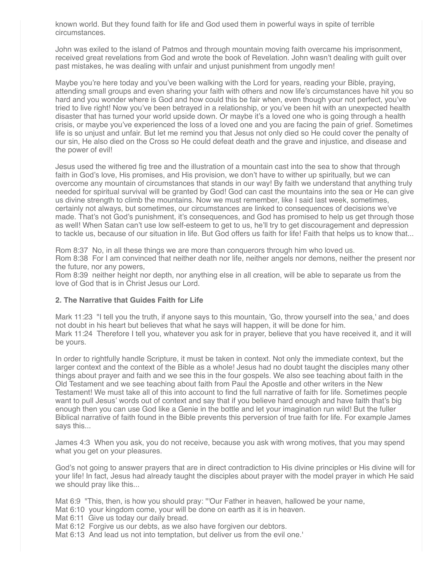known world. But they found faith for life and God used them in powerful ways in spite of terrible circumstances.

John was exiled to the island of Patmos and through mountain moving faith overcame his imprisonment, received great revelations from God and wrote the book of Revelation. John wasn't dealing with guilt over past mistakes, he was dealing with unfair and unjust punishment from ungodly men!

Maybe you're here today and you've been walking with the Lord for years, reading your Bible, praying, attending small groups and even sharing your faith with others and now life's circumstances have hit you so hard and you wonder where is God and how could this be fair when, even though your not perfect, you've tried to live right! Now you've been betrayed in a relationship, or you've been hit with an unexpected health disaster that has turned your world upside down. Or maybe it's a loved one who is going through a health crisis, or maybe you've experienced the loss of a loved one and you are facing the pain of grief. Sometimes life is so unjust and unfair. But let me remind you that Jesus not only died so He could cover the penalty of our sin, He also died on the Cross so He could defeat death and the grave and injustice, and disease and the power of evil!

Jesus used the withered fig tree and the illustration of a mountain cast into the sea to show that through faith in God's love, His promises, and His provision, we don't have to wither up spiritually, but we can overcome any mountain of circumstances that stands in our way! By faith we understand that anything truly needed for spiritual survival will be granted by God! God can cast the mountains into the sea or He can give us divine strength to climb the mountains. Now we must remember, like I said last week, sometimes, certainly not always, but sometimes, our circumstances are linked to consequences of decisions we've made. That's not God's punishment, it's consequences, and God has promised to help us get through those as well! When Satan can't use low self-esteem to get to us, he'll try to get discouragement and depression to tackle us, because of our situation in life. But God offers us faith for life! Faith that helps us to know that...

Rom 8:37 No, in all these things we are more than conquerors through him who loved us. Rom 8:38 For I am convinced that neither death nor life, neither angels nor demons, neither the present nor the future, nor any powers,

Rom 8:39 neither height nor depth, nor anything else in all creation, will be able to separate us from the love of God that is in Christ Jesus our Lord.

#### **2. The Narrative that Guides Faith for Life**

Mark 11:23 "I tell you the truth, if anyone says to this mountain, 'Go, throw yourself into the sea,' and does not doubt in his heart but believes that what he says will happen, it will be done for him. Mark 11:24 Therefore I tell you, whatever you ask for in prayer, believe that you have received it, and it will be yours.

In order to rightfully handle Scripture, it must be taken in context. Not only the immediate context, but the larger context and the context of the Bible as a whole! Jesus had no doubt taught the disciples many other things about prayer and faith and we see this in the four gospels. We also see teaching about faith in the Old Testament and we see teaching about faith from Paul the Apostle and other writers in the New Testament! We must take all of this into account to find the full narrative of faith for life. Sometimes people want to pull Jesus' words out of context and say that if you believe hard enough and have faith that's big enough then you can use God like a Genie in the bottle and let your imagination run wild! But the fuller Biblical narrative of faith found in the Bible prevents this perversion of true faith for life. For example James says this...

James 4:3 When you ask, you do not receive, because you ask with wrong motives, that you may spend what you get on your pleasures.

God's not going to answer prayers that are in direct contradiction to His divine principles or His divine will for your life! In fact, Jesus had already taught the disciples about prayer with the model prayer in which He said we should pray like this...

Mat 6:9 "This, then, is how you should pray: "'Our Father in heaven, hallowed be your name,

Mat 6:10 your kingdom come, your will be done on earth as it is in heaven.

Mat 6:11 Give us today our daily bread.

Mat 6:12 Forgive us our debts, as we also have forgiven our debtors.

Mat 6:13 And lead us not into temptation, but deliver us from the evil one.'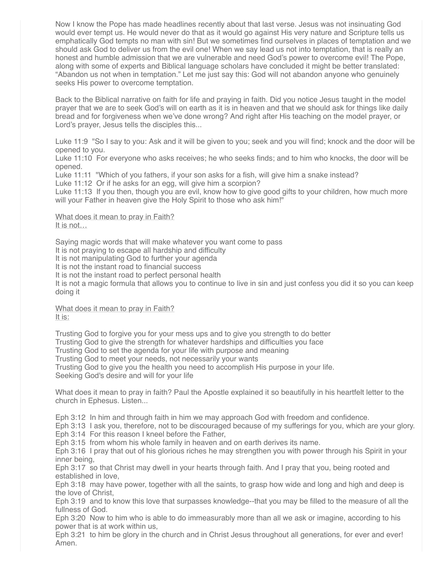Now I know the Pope has made headlines recently about that last verse. Jesus was not insinuating God would ever tempt us. He would never do that as it would go against His very nature and Scripture tells us emphatically God tempts no man with sin! But we sometimes find ourselves in places of temptation and we should ask God to deliver us from the evil one! When we say lead us not into temptation, that is really an honest and humble admission that we are vulnerable and need God's power to overcome evil! The Pope, along with some of experts and Biblical language scholars have concluded it might be better translated: "Abandon us not when in temptation." Let me just say this: God will not abandon anyone who genuinely seeks His power to overcome temptation.

Back to the Biblical narrative on faith for life and praying in faith. Did you notice Jesus taught in the model prayer that we are to seek God's will on earth as it is in heaven and that we should ask for things like daily bread and for forgiveness when we've done wrong? And right after His teaching on the model prayer, or Lord's prayer, Jesus tells the disciples this...

Luke 11:9 "So I say to you: Ask and it will be given to you; seek and you will find; knock and the door will be opened to you.

Luke 11:10 For everyone who asks receives; he who seeks finds; and to him who knocks, the door will be opened.

Luke 11:11 "Which of you fathers, if your son asks for a fish, will give him a snake instead?

Luke 11:12 Or if he asks for an egg, will give him a scorpion?

Luke 11:13 If you then, though you are evil, know how to give good gifts to your children, how much more will your Father in heaven give the Holy Spirit to those who ask him!"

What does it mean to pray in Faith? It is not…

Saying magic words that will make whatever you want come to pass It is not praying to escape all hardship and difficulty It is not manipulating God to further your agenda It is not the instant road to financial success It is not the instant road to perfect personal health It is not a magic formula that allows you to continue to live in sin and just confess you did it so you can keep doing it

What does it mean to pray in Faith? It is:

Trusting God to forgive you for your mess ups and to give you strength to do better Trusting God to give the strength for whatever hardships and difficulties you face Trusting God to set the agenda for your life with purpose and meaning Trusting God to meet your needs, not necessarily your wants Trusting God to give you the health you need to accomplish His purpose in your life. Seeking God's desire and will for your life

What does it mean to pray in faith? Paul the Apostle explained it so beautifully in his heartfelt letter to the church in Ephesus. Listen...

Eph 3:12 In him and through faith in him we may approach God with freedom and confidence.

Eph 3:13 I ask you, therefore, not to be discouraged because of my sufferings for you, which are your glory.

Eph 3:14 For this reason I kneel before the Father,

Eph 3:15 from whom his whole family in heaven and on earth derives its name.

Eph 3:16 I pray that out of his glorious riches he may strengthen you with power through his Spirit in your inner being,

Eph 3:17 so that Christ may dwell in your hearts through faith. And I pray that you, being rooted and established in love,

Eph 3:18 may have power, together with all the saints, to grasp how wide and long and high and deep is the love of Christ,

Eph 3:19 and to know this love that surpasses knowledge--that you may be filled to the measure of all the fullness of God.

Eph 3:20 Now to him who is able to do immeasurably more than all we ask or imagine, according to his power that is at work within us,

Eph 3:21 to him be glory in the church and in Christ Jesus throughout all generations, for ever and ever! Amen.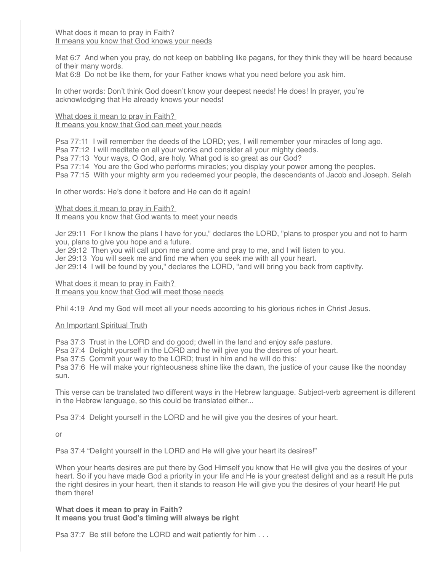What does it mean to pray in Faith? It means you know that God knows your needs

Mat 6:7 And when you pray, do not keep on babbling like pagans, for they think they will be heard because of their many words.

Mat 6:8 Do not be like them, for your Father knows what you need before you ask him.

In other words: Don't think God doesn't know your deepest needs! He does! In prayer, you're acknowledging that He already knows your needs!

What does it mean to pray in Faith? It means you know that God can meet your needs

Psa 77:11 I will remember the deeds of the LORD; yes, I will remember your miracles of long ago.

Psa 77:12 I will meditate on all your works and consider all your mighty deeds.

Psa 77:13 Your ways, O God, are holy. What god is so great as our God?

Psa 77:14 You are the God who performs miracles; you display your power among the peoples.

Psa 77:15 With your mighty arm you redeemed your people, the descendants of Jacob and Joseph. Selah

In other words: He's done it before and He can do it again!

What does it mean to pray in Faith? It means you know that God wants to meet your needs

Jer 29:11 For I know the plans I have for you," declares the LORD, "plans to prosper you and not to harm you, plans to give you hope and a future.

Jer 29:12 Then you will call upon me and come and pray to me, and I will listen to you.

Jer 29:13 You will seek me and find me when you seek me with all your heart.

Jer 29:14 I will be found by you," declares the LORD, "and will bring you back from captivity.

What does it mean to pray in Faith? It means you know that God will meet those needs

Phil 4:19 And my God will meet all your needs according to his glorious riches in Christ Jesus.

An Important Spiritual Truth

Psa 37:3 Trust in the LORD and do good; dwell in the land and enjoy safe pasture.

Psa 37:4 Delight yourself in the LORD and he will give you the desires of your heart.

Psa 37:5 Commit your way to the LORD; trust in him and he will do this:

Psa 37:6 He will make your righteousness shine like the dawn, the justice of your cause like the noonday sun.

This verse can be translated two different ways in the Hebrew language. Subject-verb agreement is different in the Hebrew language, so this could be translated either...

Psa 37:4 Delight yourself in the LORD and he will give you the desires of your heart.

or

Psa 37:4 "Delight yourself in the LORD and He will give your heart its desires!"

When your hearts desires are put there by God Himself you know that He will give you the desires of your heart. So if you have made God a priority in your life and He is your greatest delight and as a result He puts the right desires in your heart, then it stands to reason He will give you the desires of your heart! He put them there!

**What does it mean to pray in Faith? It means you trust God's timing will always be right**

Psa 37:7 Be still before the LORD and wait patiently for him . . .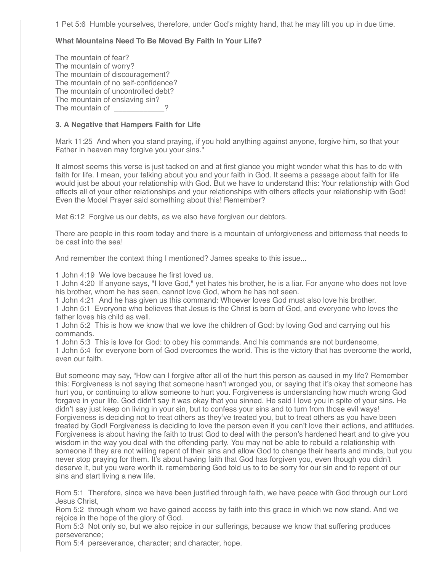1 Pet 5:6 Humble yourselves, therefore, under God's mighty hand, that he may lift you up in due time.

## **What Mountains Need To Be Moved By Faith In Your Life?**

The mountain of fear? The mountain of worry? The mountain of discouragement? The mountain of no self-confidence? The mountain of uncontrolled debt? The mountain of enslaving sin? The mountain of

## **3. A Negative that Hampers Faith for Life**

Mark 11:25 And when you stand praying, if you hold anything against anyone, forgive him, so that your Father in heaven may forgive you your sins."

It almost seems this verse is just tacked on and at first glance you might wonder what this has to do with faith for life. I mean, your talking about you and your faith in God. It seems a passage about faith for life would just be about your relationship with God. But we have to understand this: Your relationship with God effects all of your other relationships and your relationships with others effects your relationship with God! Even the Model Prayer said something about this! Remember?

Mat 6:12 Forgive us our debts, as we also have forgiven our debtors.

There are people in this room today and there is a mountain of unforgiveness and bitterness that needs to be cast into the sea!

And remember the context thing I mentioned? James speaks to this issue...

1 John 4:19 We love because he first loved us.

1 John 4:20 If anyone says, "I love God," yet hates his brother, he is a liar. For anyone who does not love his brother, whom he has seen, cannot love God, whom he has not seen.

1 John 4:21 And he has given us this command: Whoever loves God must also love his brother.

1 John 5:1 Everyone who believes that Jesus is the Christ is born of God, and everyone who loves the father loves his child as well.

1 John 5:2 This is how we know that we love the children of God: by loving God and carrying out his commands.

1 John 5:3 This is love for God: to obey his commands. And his commands are not burdensome,

1 John 5:4 for everyone born of God overcomes the world. This is the victory that has overcome the world, even our faith.

But someone may say, "How can I forgive after all of the hurt this person as caused in my life? Remember this: Forgiveness is not saying that someone hasn't wronged you, or saying that it's okay that someone has hurt you, or continuing to allow someone to hurt you. Forgiveness is understanding how much wrong God forgave in your life. God didn't say it was okay that you sinned. He said I love you in spite of your sins. He didn't say just keep on living in your sin, but to confess your sins and to turn from those evil ways! Forgiveness is deciding not to treat others as they've treated you, but to treat others as you have been treated by God! Forgiveness is deciding to love the person even if you can't love their actions, and attitudes. Forgiveness is about having the faith to trust God to deal with the person's hardened heart and to give you wisdom in the way you deal with the offending party. You may not be able to rebuild a relationship with someone if they are not willing repent of their sins and allow God to change their hearts and minds, but you never stop praying for them. It's about having faith that God has forgiven you, even though you didn't deserve it, but you were worth it, remembering God told us to to be sorry for our sin and to repent of our sins and start living a new life.

Rom 5:1 Therefore, since we have been justified through faith, we have peace with God through our Lord Jesus Christ,

Rom 5:2 through whom we have gained access by faith into this grace in which we now stand. And we rejoice in the hope of the glory of God.

Rom 5:3 Not only so, but we also rejoice in our sufferings, because we know that suffering produces perseverance;

Rom 5:4 perseverance, character; and character, hope.